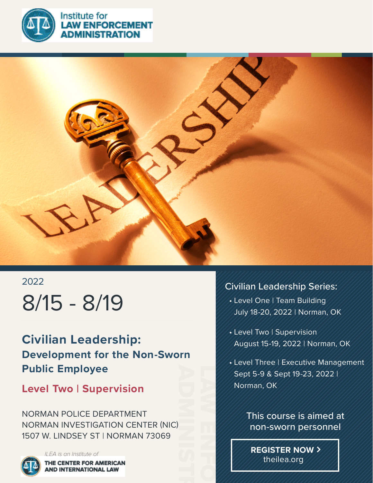

**NISTRATION** 



# 2022 8/15 - 8/19

**Civilian Leadership: Development for the Non-Sworn Public Employee**

## **Level Two | Supervision**

NORMAN POLICE DEPARTMENT NORMAN INVESTIGATION CENTER (NIC) 1507 W. LINDSEY ST | NORMAN 73069



### Civilian Leadership Series:

- Level One | Team Building July 18-20, 2022 | Norman, OK
- Level Two | Supervision August 15-19, 2022 | Norman, OK
- Level Three | Executive Management Sept 5-9 & Sept 19-23, 2022 | Norman, OK



**REGISTER NOW** theilea.org

LAW ENFORCEMENT